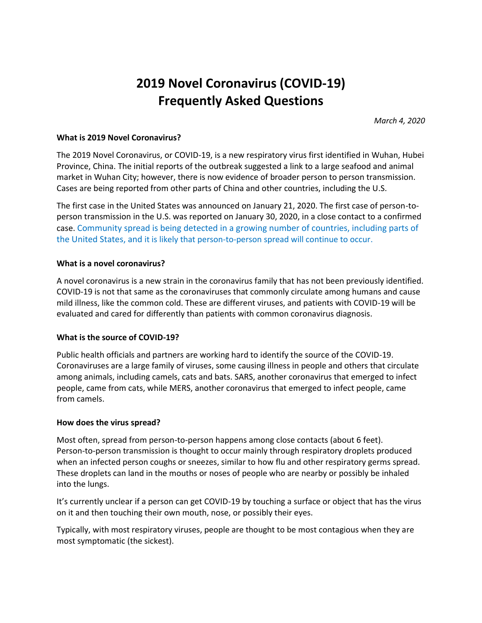# **2019 Novel Coronavirus (COVID-19) Frequently Asked Questions**

*March 4, 2020*

## **What is 2019 Novel Coronavirus?**

The 2019 Novel Coronavirus, or COVID-19, is a new respiratory virus first identified in Wuhan, Hubei Province, China. The initial reports of the outbreak suggested a link to a large seafood and animal market in Wuhan City; however, there is now evidence of broader person to person transmission. Cases are being reported from other parts of China and other countries, including the U.S.

The first case in the United States was announced on January 21, 2020. The first case of person-toperson transmission in the U.S. was reported on January 30, 2020, in a close contact to a confirmed case. Community spread is being detected in a growing number of countries, including parts of the United States, and it is likely that person-to-person spread will continue to occur.

## **What is a novel coronavirus?**

A novel coronavirus is a new strain in the coronavirus family that has not been previously identified. COVID-19 is not that same as the coronaviruses that commonly circulate among humans and cause mild illness, like the common cold. These are different viruses, and patients with COVID-19 will be evaluated and cared for differently than patients with common coronavirus diagnosis.

## **What is the source of COVID-19?**

Public health officials and partners are working hard to identify the source of the COVID-19. Coronaviruses are a large family of viruses, some causing illness in people and others that circulate among animals, including camels, cats and bats. SARS, another coronavirus that emerged to infect people, came from cats, while MERS, another coronavirus that emerged to infect people, came from camels.

## **How does the virus spread?**

Most often, spread from person-to-person happens among close contacts (about 6 feet). Person-to-person transmission is thought to occur mainly through respiratory droplets produced when an infected person coughs or sneezes, similar to how flu and other respiratory germs spread. These droplets can land in the mouths or noses of people who are nearby or possibly be inhaled into the lungs.

It's currently unclear if a person can get COVID-19 by touching a surface or object that has the virus on it and then touching their own mouth, nose, or possibly their eyes.

Typically, with most respiratory viruses, people are thought to be most contagious when they are most symptomatic (the sickest).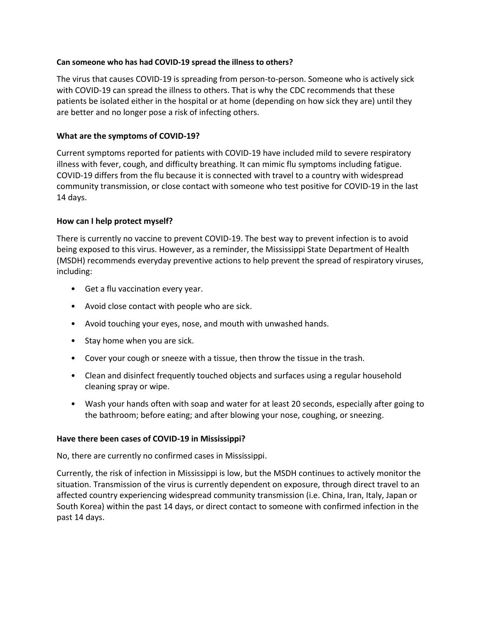## **Can someone who has had COVID-19 spread the illness to others?**

The virus that causes COVID-19 is spreading from person-to-person. Someone who is actively sick with COVID-19 can spread the illness to others. That is why the CDC recommends that these patients be isolated either in the hospital or at home (depending on how sick they are) until they are better and no longer pose a risk of infecting others.

# **What are the symptoms of COVID-19?**

Current symptoms reported for patients with COVID-19 have included mild to severe respiratory illness with fever, cough, and difficulty breathing. It can mimic flu symptoms including fatigue. COVID-19 differs from the flu because it is connected with travel to a country with widespread community transmission, or close contact with someone who test positive for COVID-19 in the last 14 days.

## **How can I help protect myself?**

There is currently no vaccine to prevent COVID-19. The best way to prevent infection is to avoid being exposed to this virus. However, as a reminder, the Mississippi State Department of Health (MSDH) recommends everyday preventive actions to help prevent the spread of respiratory viruses, including:

- Get a flu vaccination every year.
- Avoid close contact with people who are sick.
- Avoid touching your eyes, nose, and mouth with unwashed hands.
- Stay home when you are sick.
- Cover your cough or sneeze with a tissue, then throw the tissue in the trash.
- Clean and disinfect frequently touched objects and surfaces using a regular household cleaning spray or wipe.
- Wash your hands often with soap and water for at least 20 seconds, especially after going to the bathroom; before eating; and after blowing your nose, coughing, or sneezing.

## **Have there been cases of COVID-19 in Mississippi?**

No, there are currently no confirmed cases in Mississippi.

Currently, the risk of infection in Mississippi is low, but the MSDH continues to actively monitor the situation. Transmission of the virus is currently dependent on exposure, through direct travel to an affected country experiencing widespread community transmission (i.e. China, Iran, Italy, Japan or South Korea) within the past 14 days, or direct contact to someone with confirmed infection in the past 14 days.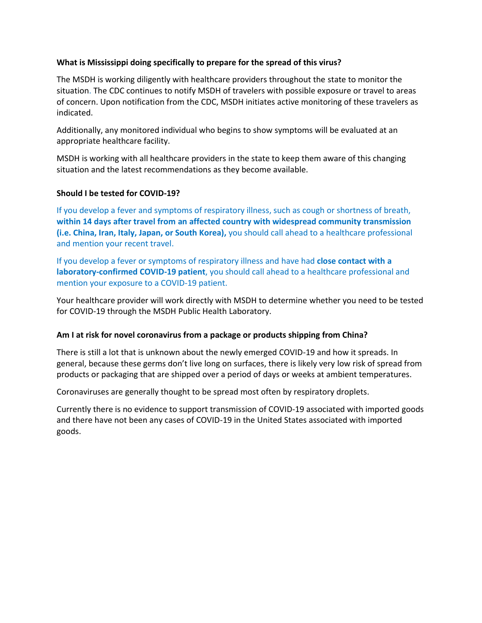# **What is Mississippi doing specifically to prepare for the spread of this virus?**

The MSDH is working diligently with healthcare providers throughout the state to monitor the situation. The CDC continues to notify MSDH of travelers with possible exposure or travel to areas of concern. Upon notification from the CDC, MSDH initiates active monitoring of these travelers as indicated.

Additionally, any monitored individual who begins to show symptoms will be evaluated at an appropriate healthcare facility.

MSDH is working with all healthcare providers in the state to keep them aware of this changing situation and the latest recommendations as they become available.

## **Should I be tested for COVID-19?**

If you develop a fever and symptoms of respiratory illness, such as cough or shortness of breath, **within 14 days after travel from an affected country with widespread community transmission (i.e. China, Iran, Italy, Japan, or South Korea),** you should call ahead to a healthcare professional and mention your recent travel.

If you develop a fever or symptoms of respiratory illness and have had **close contact with a laboratory-confirmed COVID-19 patient**, you should call ahead to a healthcare professional and mention your exposure to a COVID-19 patient.

Your healthcare provider will work directly with MSDH to determine whether you need to be tested for COVID-19 through the MSDH Public Health Laboratory.

## **Am I at risk for novel coronavirus from a package or products shipping from China?**

There is still a lot that is unknown about the newly emerged COVID-19 and how it spreads. In general, because these germs don't live long on surfaces, there is likely very low risk of spread from products or packaging that are shipped over a period of days or weeks at ambient temperatures.

Coronaviruses are generally thought to be spread most often by respiratory droplets.

Currently there is no evidence to support transmission of COVID-19 associated with imported goods and there have not been any cases of COVID-19 in the United States associated with imported goods.